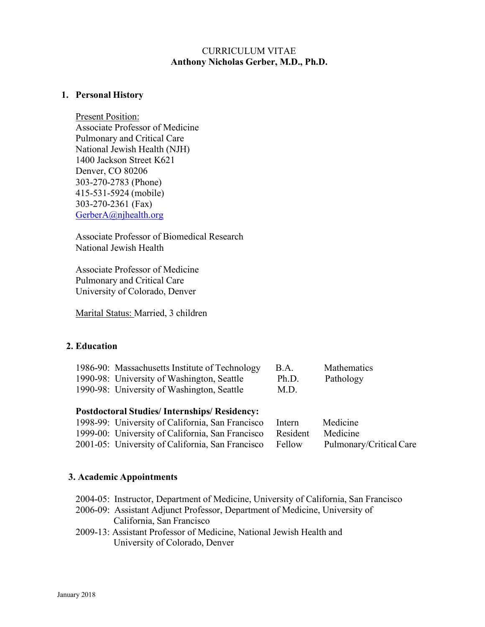## CURRICULUM VITAE **Anthony Nicholas Gerber, M.D., Ph.D.**

### **1. Personal History**

Present Position: Associate Professor of Medicine Pulmonary and Critical Care National Jewish Health (NJH) 1400 Jackson Street K621 Denver, CO 80206 303-270-2783 (Phone) 415-531-5924 (mobile) 303-270-2361 (Fax) GerberA@njhealth.org

Associate Professor of Biomedical Research National Jewish Health

Associate Professor of Medicine Pulmonary and Critical Care University of Colorado, Denver

Marital Status: Married, 3 children

### **2. Education**

| 1986-90: Massachusetts Institute of Technology | <b>B.A.</b> | <b>Mathematics</b> |
|------------------------------------------------|-------------|--------------------|
| 1990-98: University of Washington, Seattle     | Ph.D.       | Pathology          |
| 1990-98: University of Washington, Seattle     | M.D.        |                    |

### **Postdoctoral Studies/ Internships/ Residency:**

| 1998-99: University of California, San Francisco          | Intern | Medicine                |
|-----------------------------------------------------------|--------|-------------------------|
| 1999-00: University of California, San Francisco Resident |        | Medicine                |
| 2001-05: University of California, San Francisco Fellow   |        | Pulmonary/Critical Care |

### **3. Academic Appointments**

- 2004-05: Instructor, Department of Medicine, University of California, San Francisco
- 2006-09: Assistant Adjunct Professor, Department of Medicine, University of California, San Francisco
- 2009-13: Assistant Professor of Medicine, National Jewish Health and University of Colorado, Denver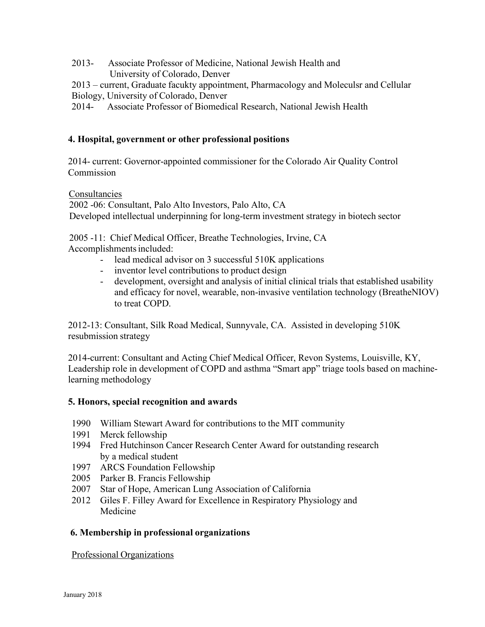2013- Associate Professor of Medicine, National Jewish Health and University of Colorado, Denver

2013 – current, Graduate facukty appointment, Pharmacology and Moleculsr and Cellular Biology, University of Colorado, Denver

2014- Associate Professor of Biomedical Research, National Jewish Health

# **4. Hospital, government or other professional positions**

2014- current: Governor-appointed commissioner for the Colorado Air Quality Control Commission

Consultancies

2002 -06: Consultant, Palo Alto Investors, Palo Alto, CA Developed intellectual underpinning for long-term investment strategy in biotech sector

2005 -11: Chief Medical Officer, Breathe Technologies, Irvine, CA Accomplishments included:

- lead medical advisor on 3 successful 510K applications
- inventor level contributions to product design
- development, oversight and analysis of initial clinical trials that established usability and efficacy for novel, wearable, non-invasive ventilation technology (BreatheNIOV) to treat COPD.

2012-13: Consultant, Silk Road Medical, Sunnyvale, CA. Assisted in developing 510K resubmission strategy

2014-current: Consultant and Acting Chief Medical Officer, Revon Systems, Louisville, KY, Leadership role in development of COPD and asthma "Smart app" triage tools based on machinelearning methodology

# **5. Honors, special recognition and awards**

- 1990 William Stewart Award for contributions to the MIT community
- 1991 Merck fellowship
- 1994 Fred Hutchinson Cancer Research Center Award for outstanding research by a medical student
- 1997 ARCS Foundation Fellowship
- 2005 Parker B. Francis Fellowship
- 2007 Star of Hope, American Lung Association of California
- 2012 Giles F. Filley Award for Excellence in Respiratory Physiology and Medicine

# **6. Membership in professional organizations**

Professional Organizations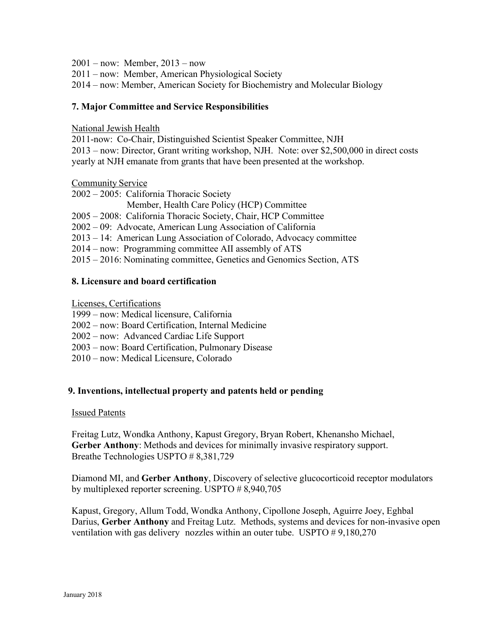2001 – now: Member, 2013 – now

2011 – now: Member, American Physiological Society

2014 – now: Member, American Society for Biochemistry and Molecular Biology

## **7. Major Committee and Service Responsibilities**

National Jewish Health

2011-now: Co-Chair, Distinguished Scientist Speaker Committee, NJH 2013 – now: Director, Grant writing workshop, NJH. Note: over \$2,500,000 in direct costs yearly at NJH emanate from grants that have been presented at the workshop.

Community Service

2002 – 2005: California Thoracic Society Member, Health Care Policy (HCP) Committee

2005 – 2008: California Thoracic Society, Chair, HCP Committee

2002 – 09: Advocate, American Lung Association of California

2013 – 14: American Lung Association of Colorado, Advocacy committee

2014 – now: Programming committee AII assembly of ATS

2015 – 2016: Nominating committee, Genetics and Genomics Section, ATS

### **8. Licensure and board certification**

Licenses, Certifications

- 1999 now: Medical licensure, California
- 2002 now: Board Certification, Internal Medicine
- 2002 now: Advanced Cardiac Life Support
- 2003 now: Board Certification, Pulmonary Disease
- 2010 now: Medical Licensure, Colorado

# **9. Inventions, intellectual property and patents held or pending**

### Issued Patents

Freitag Lutz, Wondka Anthony, Kapust Gregory, Bryan Robert, Khenansho Michael, **Gerber Anthony**: Methods and devices for minimally invasive respiratory support. Breathe Technologies USPTO # 8,381,729

Diamond MI, and **Gerber Anthony**, Discovery of selective glucocorticoid receptor modulators by multiplexed reporter screening. USPTO # 8,940,705

Kapust, Gregory, Allum Todd, Wondka Anthony, Cipollone Joseph, Aguirre Joey, Eghbal Darius, **Gerber Anthony** and Freitag Lutz. Methods, systems and devices for non-invasive open ventilation with gas delivery nozzles within an outer tube. USPTO # 9,180,270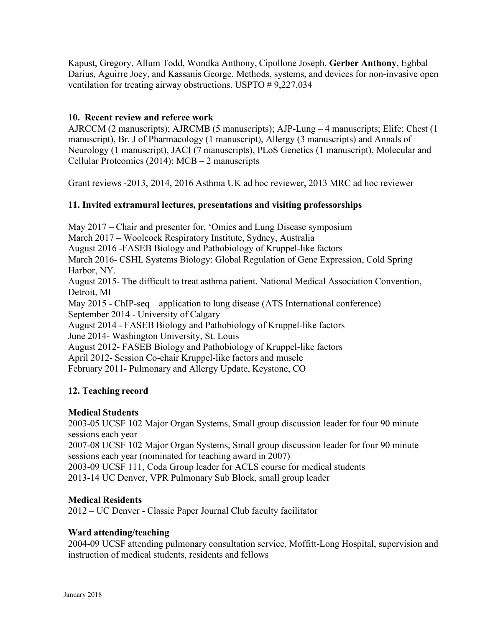Kapust, Gregory, Allum Todd, Wondka Anthony, Cipollone Joseph, **Gerber Anthony**, Eghbal Darius, Aguirre Joey, and Kassanis George. Methods, systems, and devices for non-invasive open ventilation for treating airway obstructions. USPTO # 9,227,034

## **10. Recent review and referee work**

AJRCCM (2 manuscripts); AJRCMB (5 manuscripts); AJP-Lung – 4 manuscripts; Elife; Chest (1 manuscript), Br. J of Pharmacology (1 manuscript), Allergy (3 manuscripts) and Annals of Neurology (1 manuscript), JACI (7 manuscripts), PLoS Genetics (1 manuscript), Molecular and Cellular Proteomics (2014); MCB – 2 manuscripts

Grant reviews -2013, 2014, 2016 Asthma UK ad hoc reviewer, 2013 MRC ad hoc reviewer

### **11. Invited extramural lectures, presentations and visiting professorships**

May 2017 – Chair and presenter for, 'Omics and Lung Disease symposium March 2017 – Woolcock Respiratory Institute, Sydney, Australia August 2016 -FASEB Biology and Pathobiology of Kruppel-like factors March 2016- CSHL Systems Biology: Global Regulation of Gene Expression, Cold Spring Harbor, NY. August 2015- The difficult to treat asthma patient. National Medical Association Convention, Detroit, MI May 2015 - ChIP-seq – application to lung disease (ATS International conference) September 2014 - University of Calgary August 2014 - FASEB Biology and Pathobiology of Kruppel-like factors June 2014- Washington University, St. Louis August 2012- FASEB Biology and Pathobiology of Kruppel-like factors April 2012- Session Co-chair Kruppel-like factors and muscle

February 2011- Pulmonary and Allergy Update, Keystone, CO

### **12. Teaching record**

### **Medical Students**

2003-05 UCSF 102 Major Organ Systems, Small group discussion leader for four 90 minute sessions each year

2007-08 UCSF 102 Major Organ Systems, Small group discussion leader for four 90 minute sessions each year (nominated for teaching award in 2007)

2003-09 UCSF 111, Coda Group leader for ACLS course for medical students

2013-14 UC Denver, VPR Pulmonary Sub Block, small group leader

### **Medical Residents**

2012 – UC Denver - Classic Paper Journal Club faculty facilitator

### **Ward attending/teaching**

2004-09 UCSF attending pulmonary consultation service, Moffitt-Long Hospital, supervision and instruction of medical students, residents and fellows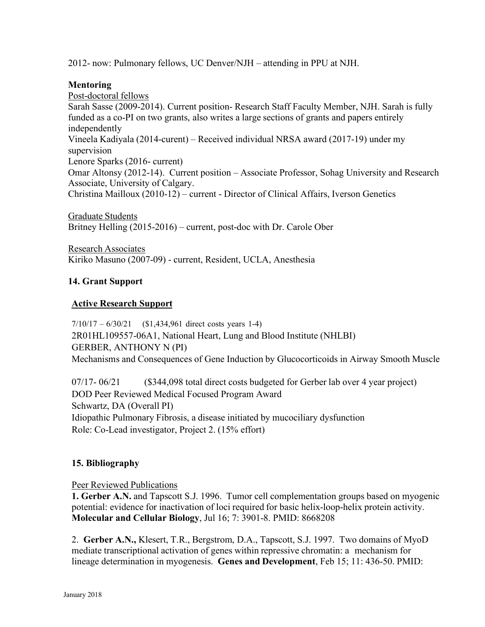2012- now: Pulmonary fellows, UC Denver/NJH – attending in PPU at NJH.

# **Mentoring**

Post-doctoral fellows Sarah Sasse (2009-2014). Current position- Research Staff Faculty Member, NJH. Sarah is fully funded as a co-PI on two grants, also writes a large sections of grants and papers entirely independently Vineela Kadiyala (2014-curent) – Received individual NRSA award (2017-19) under my supervision Lenore Sparks (2016- current) Omar Altonsy (2012-14). Current position – Associate Professor, Sohag University and Research Associate, University of Calgary. Christina Mailloux (2010-12) – current - Director of Clinical Affairs, Iverson Genetics

Graduate Students Britney Helling (2015-2016) – current, post-doc with Dr. Carole Ober

Research Associates Kiriko Masuno (2007-09) - current, Resident, UCLA, Anesthesia

# **14. Grant Support**

### **Active Research Support**

7/10/17 – 6/30/21 (\$1,434,961 direct costs years 1-4) 2R01HL109557-06A1, National Heart, Lung and Blood Institute (NHLBI) GERBER, ANTHONY N (PI) Mechanisms and Consequences of Gene Induction by Glucocorticoids in Airway Smooth Muscle

07/17- 06/21 (\$344,098 total direct costs budgeted for Gerber lab over 4 year project) DOD Peer Reviewed Medical Focused Program Award Schwartz, DA (Overall PI) Idiopathic Pulmonary Fibrosis, a disease initiated by mucociliary dysfunction Role: Co-Lead investigator, Project 2. (15% effort)

### **15. Bibliography**

Peer Reviewed Publications

**1. Gerber A.N.** and Tapscott S.J. 1996. Tumor cell complementation groups based on myogenic potential: evidence for inactivation of loci required for basic helix-loop-helix protein activity. **Molecular and Cellular Biology**, Jul 16; 7: 3901-8. PMID: 8668208

2. **Gerber A.N.,** Klesert, T.R., Bergstrom, D.A., Tapscott, S.J. 1997. Two domains of MyoD mediate transcriptional activation of genes within repressive chromatin: a mechanism for lineage determination in myogenesis. **Genes and Development**, Feb 15; 11: 436-50. PMID: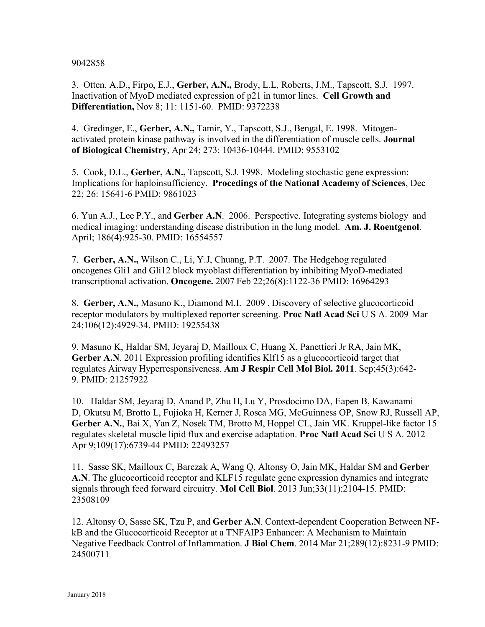9042858

3. Otten. A.D., Firpo, E.J., **Gerber, A.N.,** Brody, L.L, Roberts, J.M., Tapscott, S.J. 1997. Inactivation of MyoD mediated expression of p21 in tumor lines. **Cell Growth and Differentiation,** Nov 8; 11: 1151-60. PMID: 9372238

4. Gredinger, E., **Gerber, A.N.,** Tamir, Y., Tapscott, S.J., Bengal, E. 1998. Mitogenactivated protein kinase pathway is involved in the differentiation of muscle cells. **Journal of Biological Chemistry**, Apr 24; 273: 10436-10444. PMID: 9553102

5. Cook, D.L., **Gerber, A.N.,** Tapscott, S.J. 1998. Modeling stochastic gene expression: Implications for haploinsufficiency. **Procedings of the National Academy of Sciences**, Dec 22; 26: 15641-6 PMID: 9861023

6. Yun A.J., Lee P.Y., and **Gerber A.N**. 2006. Perspective. Integrating systems biology and medical imaging: understanding disease distribution in the lung model. **Am. J. Roentgenol**. April; 186(4):925-30. PMID: 16554557

7. **Gerber, A.N.,** Wilson C., Li, Y.J, Chuang, P.T. 2007. The Hedgehog regulated oncogenes Gli1 and Gli12 block myoblast differentiation by inhibiting MyoD-mediated transcriptional activation. **Oncogene.** 2007 Feb 22;26(8):1122-36 PMID: 16964293

8. **Gerber, A.N.,** Masuno K., Diamond M.I. 2009 . Discovery of selective glucocorticoid receptor modulators by multiplexed reporter screening. **Proc Natl Acad Sci** U S A. 2009 Mar 24;106(12):4929-34. PMID: 19255438

9. Masuno K, Haldar SM, Jeyaraj D, Mailloux C, Huang X, Panettieri Jr RA, Jain MK, **Gerber A.N**. 2011 Expression profiling identifies Klf15 as a glucocorticoid target that regulates Airway Hyperresponsiveness. **Am J Respir Cell Mol Biol. 2011**. Sep;45(3):642- 9. PMID: 21257922

10. Haldar SM, Jeyaraj D, Anand P, Zhu H, Lu Y, Prosdocimo DA, Eapen B, Kawanami D, Okutsu M, Brotto L, Fujioka H, Kerner J, Rosca MG, McGuinness OP, Snow RJ, Russell AP, **Gerber A.N.**, Bai X, Yan Z, Nosek TM, Brotto M, Hoppel CL, Jain MK. Kruppel-like factor 15 regulates skeletal muscle lipid flux and exercise adaptation. **Proc Natl Acad Sci** U S A. 2012 Apr 9;109(17):6739-44 PMID: 22493257

11. Sasse SK, Mailloux C, Barczak A, Wang Q, Altonsy O, Jain MK, Haldar SM and **Gerber A.N**. The glucocorticoid receptor and KLF15 regulate gene expression dynamics and integrate signals through feed forward circuitry. **Mol Cell Biol**. 2013 Jun;33(11):2104-15. PMID: 23508109

12. Altonsy O, Sasse SK, Tzu P, and **Gerber A.N**. Context-dependent Cooperation Between NFkB and the Glucocorticoid Receptor at a TNFAIP3 Enhancer: A Mechanism to Maintain Negative Feedback Control of Inflammation. **J Biol Chem**. 2014 Mar 21;289(12):8231-9 PMID: 24500711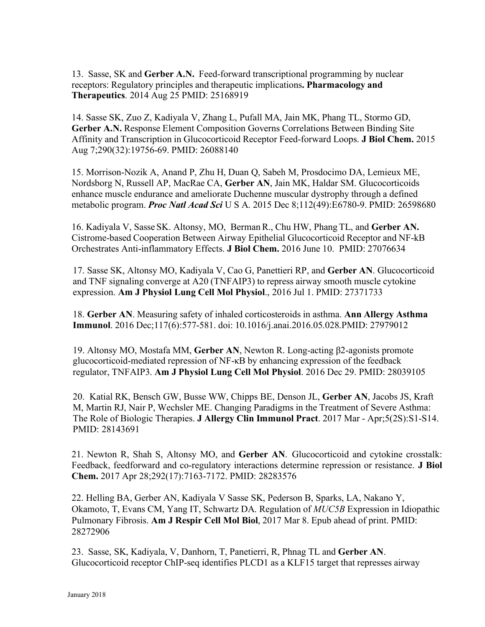13. Sasse, SK and **Gerber A.N.** Feed-forward transcriptional programming by nuclear receptors: Regulatory principles and therapeutic implications**. Pharmacology and Therapeutics**. 2014 Aug 25 PMID: 25168919

14. Sasse SK, Zuo Z, Kadiyala V, Zhang L, Pufall MA, Jain MK, Phang TL, Stormo GD, **Gerber A.N.** Response Element Composition Governs Correlations Between Binding Site Affinity and Transcription in Glucocorticoid Receptor Feed-forward Loops. **J Biol Chem.** 2015 Aug 7;290(32):19756-69. PMID: 26088140

15. Morrison-Nozik A, Anand P, Zhu H, Duan Q, Sabeh M, Prosdocimo DA, Lemieux ME, Nordsborg N, Russell AP, MacRae CA, **Gerber AN**, Jain MK, Haldar SM. Glucocorticoids enhance muscle endurance and ameliorate Duchenne muscular dystrophy through a defined metabolic program. *Proc Natl Acad Sci* U S A. 2015 Dec 8;112(49):E6780-9. PMID: 26598680

16. Kadiyala V, Sasse SK. Altonsy, MO, BermanR., Chu HW, Phang TL, and **Gerber AN.**  Cistrome-based Cooperation Between Airway Epithelial Glucocorticoid Receptor and NF-kB Orchestrates Anti-inflammatory Effects. **J Biol Chem.** 2016 June 10. PMID: 27076634

17. Sasse SK, Altonsy MO, Kadiyala V, Cao G, Panettieri RP, and **Gerber AN**. Glucocorticoid and TNF signaling converge at A20 (TNFAIP3) to repress airway smooth muscle cytokine expression. **Am J Physiol Lung Cell Mol Physiol**., 2016 Jul 1. PMID: 27371733

18. **Gerber AN**. Measuring safety of inhaled corticosteroids in asthma. **Ann Allergy Asthma Immunol**. 2016 Dec;117(6):577-581. doi: 10.1016/j.anai.2016.05.028.PMID: 27979012

19. Altonsy MO, Mostafa MM, **Gerber AN**, Newton R. Long-acting β2-agonists promote glucocorticoid-mediated repression of NF-κB by enhancing expression of the feedback regulator, TNFAIP3. **Am J Physiol Lung Cell Mol Physiol**. 2016 Dec 29. PMID: 28039105

20. Katial RK, Bensch GW, Busse WW, Chipps BE, Denson JL, **Gerber AN**, Jacobs JS, Kraft M, Martin RJ, Nair P, Wechsler ME. Changing Paradigms in the Treatment of Severe Asthma: The Role of Biologic Therapies. **J Allergy Clin Immunol Pract**. 2017 Mar - Apr;5(2S):S1-S14. PMID: 28143691

21. Newton R, Shah S, Altonsy MO, and **Gerber AN**. Glucocorticoid and cytokine crosstalk: Feedback, feedforward and co-regulatory interactions determine repression or resistance. **J Biol Chem.** 2017 Apr 28;292(17):7163-7172. PMID: 28283576

22. Helling BA, Gerber AN, Kadiyala V Sasse SK, Pederson B, Sparks, LA, Nakano Y, Okamoto, T, Evans CM, Yang IT, Schwartz DA. Regulation of *MUC5B* Expression in Idiopathic Pulmonary Fibrosis. **Am J Respir Cell Mol Biol**, 2017 Mar 8. Epub ahead of print. PMID: 28272906

23. Sasse, SK, Kadiyala, V, Danhorn, T, Panetierri, R, Phnag TL and **Gerber AN**. Glucocorticoid receptor ChIP-seq identifies PLCD1 as a KLF15 target that represses airway